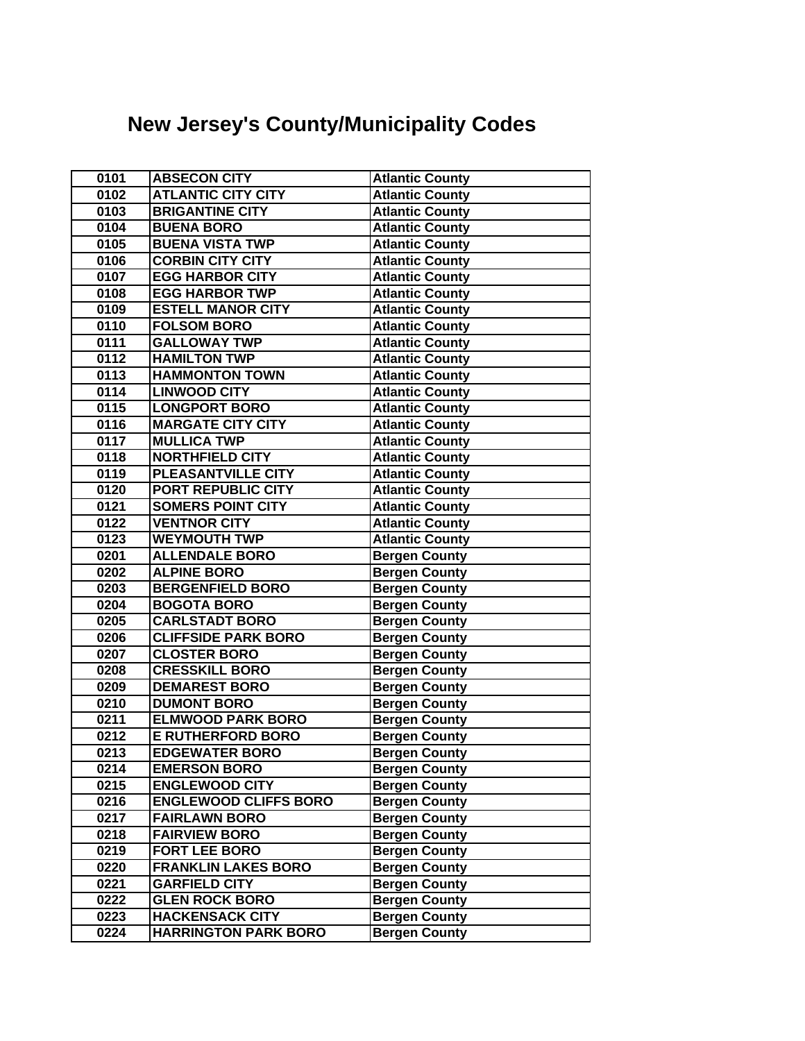## **New Jersey's County/Municipality Codes**

| 0101 | <b>ABSECON CITY</b>          | <b>Atlantic County</b> |
|------|------------------------------|------------------------|
| 0102 | <b>ATLANTIC CITY CITY</b>    | <b>Atlantic County</b> |
| 0103 | <b>BRIGANTINE CITY</b>       | <b>Atlantic County</b> |
| 0104 | <b>BUENA BORO</b>            | <b>Atlantic County</b> |
| 0105 | <b>BUENA VISTA TWP</b>       | <b>Atlantic County</b> |
| 0106 | <b>CORBIN CITY CITY</b>      | <b>Atlantic County</b> |
| 0107 | <b>EGG HARBOR CITY</b>       | <b>Atlantic County</b> |
| 0108 | <b>EGG HARBOR TWP</b>        | <b>Atlantic County</b> |
| 0109 | <b>ESTELL MANOR CITY</b>     | <b>Atlantic County</b> |
| 0110 | <b>FOLSOM BORO</b>           | <b>Atlantic County</b> |
| 0111 | <b>GALLOWAY TWP</b>          | <b>Atlantic County</b> |
| 0112 | <b>HAMILTON TWP</b>          | <b>Atlantic County</b> |
| 0113 | <b>HAMMONTON TOWN</b>        | <b>Atlantic County</b> |
| 0114 | <b>LINWOOD CITY</b>          | <b>Atlantic County</b> |
| 0115 | <b>LONGPORT BORO</b>         | <b>Atlantic County</b> |
| 0116 | <b>MARGATE CITY CITY</b>     | <b>Atlantic County</b> |
| 0117 | <b>MULLICA TWP</b>           | <b>Atlantic County</b> |
| 0118 | <b>NORTHFIELD CITY</b>       | <b>Atlantic County</b> |
| 0119 | PLEASANTVILLE CITY           | <b>Atlantic County</b> |
| 0120 | PORT REPUBLIC CITY           | <b>Atlantic County</b> |
| 0121 | <b>SOMERS POINT CITY</b>     | <b>Atlantic County</b> |
| 0122 | <b>VENTNOR CITY</b>          | <b>Atlantic County</b> |
| 0123 | <b>WEYMOUTH TWP</b>          | <b>Atlantic County</b> |
| 0201 | <b>ALLENDALE BORO</b>        | <b>Bergen County</b>   |
| 0202 | <b>ALPINE BORO</b>           | <b>Bergen County</b>   |
| 0203 | <b>BERGENFIELD BORO</b>      | <b>Bergen County</b>   |
| 0204 | <b>BOGOTA BORO</b>           | <b>Bergen County</b>   |
| 0205 | <b>CARLSTADT BORO</b>        | <b>Bergen County</b>   |
| 0206 | <b>CLIFFSIDE PARK BORO</b>   | <b>Bergen County</b>   |
| 0207 | <b>CLOSTER BORO</b>          | <b>Bergen County</b>   |
| 0208 | <b>CRESSKILL BORO</b>        | <b>Bergen County</b>   |
| 0209 | <b>DEMAREST BORO</b>         | <b>Bergen County</b>   |
| 0210 | <b>DUMONT BORO</b>           | <b>Bergen County</b>   |
| 0211 | <b>ELMWOOD PARK BORO</b>     | <b>Bergen County</b>   |
| 0212 | <b>E RUTHERFORD BORO</b>     | <b>Bergen County</b>   |
| 0213 | <b>EDGEWATER BORO</b>        | <b>Bergen County</b>   |
| 0214 | <b>EMERSON BORO</b>          | <b>Bergen County</b>   |
| 0215 | <b>ENGLEWOOD CITY</b>        | <b>Bergen County</b>   |
| 0216 | <b>ENGLEWOOD CLIFFS BORO</b> | <b>Bergen County</b>   |
| 0217 | <b>FAIRLAWN BORO</b>         | <b>Bergen County</b>   |
| 0218 | <b>FAIRVIEW BORO</b>         | <b>Bergen County</b>   |
| 0219 | <b>FORT LEE BORO</b>         | <b>Bergen County</b>   |
| 0220 | <b>FRANKLIN LAKES BORO</b>   | <b>Bergen County</b>   |
| 0221 | <b>GARFIELD CITY</b>         | <b>Bergen County</b>   |
| 0222 | <b>GLEN ROCK BORO</b>        | <b>Bergen County</b>   |
| 0223 | <b>HACKENSACK CITY</b>       | <b>Bergen County</b>   |
| 0224 | <b>HARRINGTON PARK BORO</b>  | <b>Bergen County</b>   |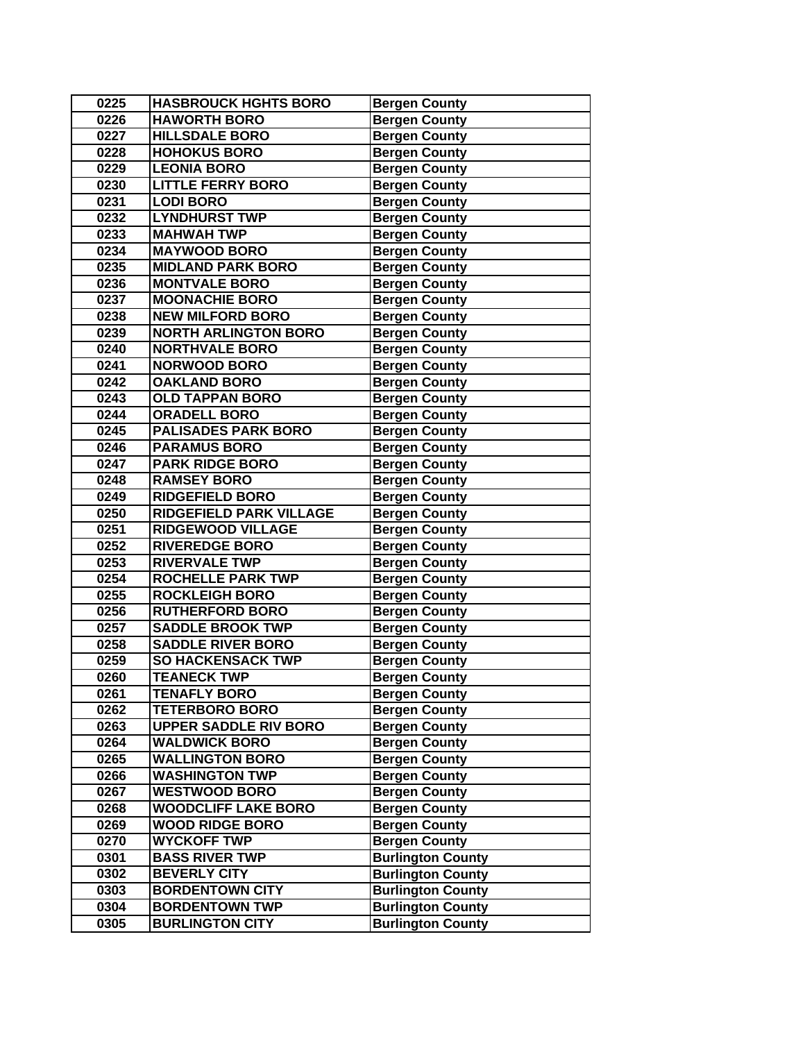| 0225 | <b>HASBROUCK HGHTS BORO</b>    | <b>Bergen County</b>     |
|------|--------------------------------|--------------------------|
| 0226 | <b>HAWORTH BORO</b>            | <b>Bergen County</b>     |
| 0227 | <b>HILLSDALE BORO</b>          | <b>Bergen County</b>     |
| 0228 | <b>HOHOKUS BORO</b>            | <b>Bergen County</b>     |
| 0229 | <b>LEONIA BORO</b>             | <b>Bergen County</b>     |
| 0230 | <b>LITTLE FERRY BORO</b>       | <b>Bergen County</b>     |
| 0231 | <b>LODI BORO</b>               | <b>Bergen County</b>     |
| 0232 | <b>LYNDHURST TWP</b>           | <b>Bergen County</b>     |
| 0233 | <b>MAHWAH TWP</b>              | <b>Bergen County</b>     |
| 0234 | <b>MAYWOOD BORO</b>            | <b>Bergen County</b>     |
| 0235 | <b>MIDLAND PARK BORO</b>       | <b>Bergen County</b>     |
| 0236 | <b>MONTVALE BORO</b>           | <b>Bergen County</b>     |
| 0237 | <b>MOONACHIE BORO</b>          | <b>Bergen County</b>     |
| 0238 | <b>NEW MILFORD BORO</b>        | <b>Bergen County</b>     |
| 0239 | <b>NORTH ARLINGTON BORO</b>    | <b>Bergen County</b>     |
| 0240 | <b>NORTHVALE BORO</b>          | <b>Bergen County</b>     |
| 0241 | <b>NORWOOD BORO</b>            | <b>Bergen County</b>     |
| 0242 | <b>OAKLAND BORO</b>            | <b>Bergen County</b>     |
| 0243 | <b>OLD TAPPAN BORO</b>         | <b>Bergen County</b>     |
| 0244 | <b>ORADELL BORO</b>            | <b>Bergen County</b>     |
| 0245 | <b>PALISADES PARK BORO</b>     | <b>Bergen County</b>     |
| 0246 | <b>PARAMUS BORO</b>            | <b>Bergen County</b>     |
| 0247 | <b>PARK RIDGE BORO</b>         | <b>Bergen County</b>     |
| 0248 | <b>RAMSEY BORO</b>             | <b>Bergen County</b>     |
| 0249 | <b>RIDGEFIELD BORO</b>         | <b>Bergen County</b>     |
| 0250 | <b>RIDGEFIELD PARK VILLAGE</b> | <b>Bergen County</b>     |
| 0251 | <b>RIDGEWOOD VILLAGE</b>       | <b>Bergen County</b>     |
| 0252 | <b>RIVEREDGE BORO</b>          | <b>Bergen County</b>     |
| 0253 | <b>RIVERVALE TWP</b>           | <b>Bergen County</b>     |
| 0254 | <b>ROCHELLE PARK TWP</b>       | <b>Bergen County</b>     |
| 0255 | <b>ROCKLEIGH BORO</b>          | <b>Bergen County</b>     |
| 0256 | <b>RUTHERFORD BORO</b>         | <b>Bergen County</b>     |
| 0257 | <b>SADDLE BROOK TWP</b>        | <b>Bergen County</b>     |
| 0258 | <b>SADDLE RIVER BORO</b>       | <b>Bergen County</b>     |
| 0259 | <b>SO HACKENSACK TWP</b>       | <b>Bergen County</b>     |
| 0260 | <b>TEANECK TWP</b>             | <b>Bergen County</b>     |
| 0261 | <b>TENAFLY BORO</b>            | <b>Bergen County</b>     |
| 0262 | <b>TETERBORO BORO</b>          | <b>Bergen County</b>     |
| 0263 | <b>UPPER SADDLE RIV BORO</b>   | <b>Bergen County</b>     |
| 0264 | <b>WALDWICK BORO</b>           | <b>Bergen County</b>     |
| 0265 | <b>WALLINGTON BORO</b>         | <b>Bergen County</b>     |
| 0266 | <b>WASHINGTON TWP</b>          | <b>Bergen County</b>     |
| 0267 | <b>WESTWOOD BORO</b>           | <b>Bergen County</b>     |
| 0268 | <b>WOODCLIFF LAKE BORO</b>     | <b>Bergen County</b>     |
| 0269 | <b>WOOD RIDGE BORO</b>         | <b>Bergen County</b>     |
| 0270 | <b>WYCKOFF TWP</b>             | <b>Bergen County</b>     |
| 0301 | <b>BASS RIVER TWP</b>          | <b>Burlington County</b> |
| 0302 | <b>BEVERLY CITY</b>            | <b>Burlington County</b> |
| 0303 | <b>BORDENTOWN CITY</b>         | <b>Burlington County</b> |
| 0304 | <b>BORDENTOWN TWP</b>          | <b>Burlington County</b> |
| 0305 | <b>BURLINGTON CITY</b>         | <b>Burlington County</b> |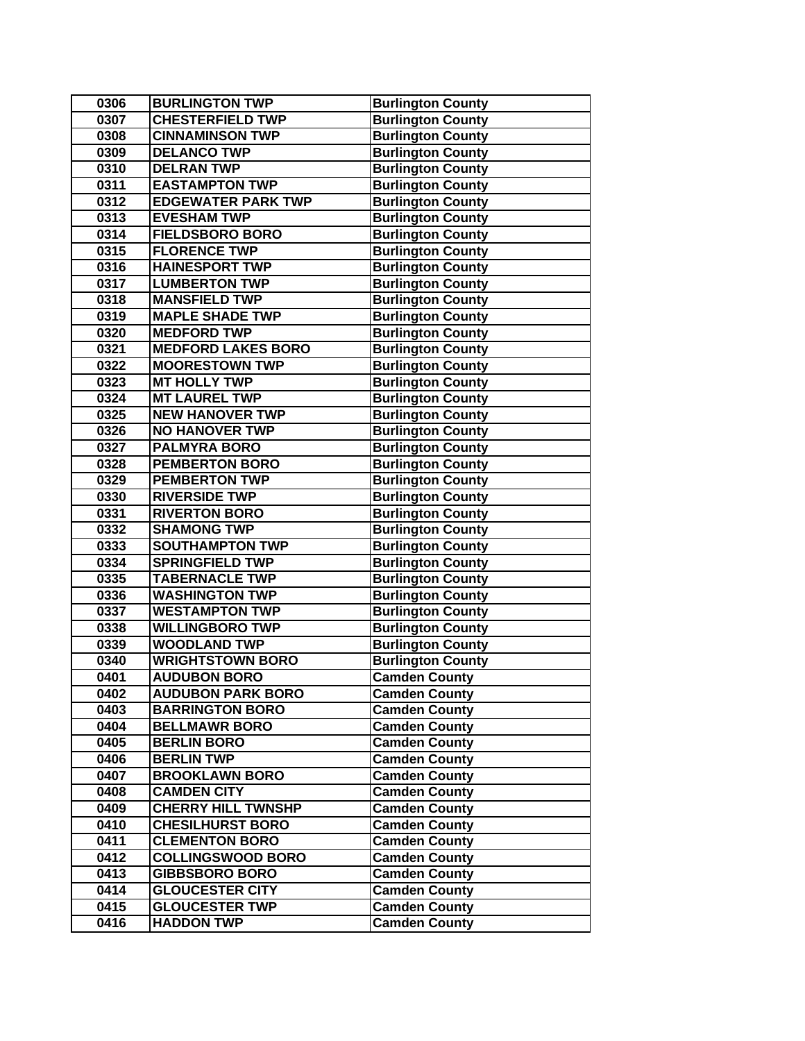| 0306 | <b>BURLINGTON TWP</b>     | <b>Burlington County</b> |
|------|---------------------------|--------------------------|
| 0307 | <b>CHESTERFIELD TWP</b>   | <b>Burlington County</b> |
| 0308 | <b>CINNAMINSON TWP</b>    | <b>Burlington County</b> |
| 0309 | <b>DELANCO TWP</b>        | <b>Burlington County</b> |
| 0310 | <b>DELRAN TWP</b>         | <b>Burlington County</b> |
| 0311 | <b>EASTAMPTON TWP</b>     | <b>Burlington County</b> |
| 0312 | <b>EDGEWATER PARK TWP</b> | <b>Burlington County</b> |
| 0313 | <b>EVESHAM TWP</b>        | <b>Burlington County</b> |
| 0314 | <b>FIELDSBORO BORO</b>    | <b>Burlington County</b> |
| 0315 | <b>FLORENCE TWP</b>       | <b>Burlington County</b> |
| 0316 | <b>HAINESPORT TWP</b>     | <b>Burlington County</b> |
| 0317 | <b>LUMBERTON TWP</b>      | <b>Burlington County</b> |
| 0318 | <b>MANSFIELD TWP</b>      | <b>Burlington County</b> |
| 0319 | <b>MAPLE SHADE TWP</b>    | <b>Burlington County</b> |
| 0320 | <b>MEDFORD TWP</b>        | <b>Burlington County</b> |
| 0321 | <b>MEDFORD LAKES BORO</b> | <b>Burlington County</b> |
| 0322 | <b>MOORESTOWN TWP</b>     | <b>Burlington County</b> |
| 0323 | <b>MT HOLLY TWP</b>       | <b>Burlington County</b> |
| 0324 | <b>MT LAUREL TWP</b>      | <b>Burlington County</b> |
| 0325 | <b>NEW HANOVER TWP</b>    | <b>Burlington County</b> |
| 0326 | <b>NO HANOVER TWP</b>     | <b>Burlington County</b> |
| 0327 | <b>PALMYRA BORO</b>       | <b>Burlington County</b> |
| 0328 | <b>PEMBERTON BORO</b>     | <b>Burlington County</b> |
| 0329 | <b>PEMBERTON TWP</b>      | <b>Burlington County</b> |
| 0330 | <b>RIVERSIDE TWP</b>      | <b>Burlington County</b> |
| 0331 | <b>RIVERTON BORO</b>      | <b>Burlington County</b> |
| 0332 | <b>SHAMONG TWP</b>        | <b>Burlington County</b> |
| 0333 | <b>SOUTHAMPTON TWP</b>    | <b>Burlington County</b> |
| 0334 | <b>SPRINGFIELD TWP</b>    | <b>Burlington County</b> |
| 0335 | <b>TABERNACLE TWP</b>     | <b>Burlington County</b> |
| 0336 | <b>WASHINGTON TWP</b>     | <b>Burlington County</b> |
| 0337 | <b>WESTAMPTON TWP</b>     | <b>Burlington County</b> |
| 0338 | <b>WILLINGBORO TWP</b>    | <b>Burlington County</b> |
| 0339 | <b>WOODLAND TWP</b>       | <b>Burlington County</b> |
| 0340 | <b>WRIGHTSTOWN BORO</b>   | <b>Burlington County</b> |
| 0401 | <b>AUDUBON BORO</b>       | <b>Camden County</b>     |
| 0402 | <b>AUDUBON PARK BORO</b>  | <b>Camden County</b>     |
| 0403 | <b>BARRINGTON BORO</b>    | <b>Camden County</b>     |
| 0404 | <b>BELLMAWR BORO</b>      | <b>Camden County</b>     |
| 0405 | <b>BERLIN BORO</b>        | <b>Camden County</b>     |
| 0406 | <b>BERLIN TWP</b>         | <b>Camden County</b>     |
| 0407 | <b>BROOKLAWN BORO</b>     | <b>Camden County</b>     |
| 0408 | <b>CAMDEN CITY</b>        | <b>Camden County</b>     |
| 0409 | <b>CHERRY HILL TWNSHP</b> | <b>Camden County</b>     |
| 0410 | <b>CHESILHURST BORO</b>   | <b>Camden County</b>     |
| 0411 | <b>CLEMENTON BORO</b>     | <b>Camden County</b>     |
| 0412 | <b>COLLINGSWOOD BORO</b>  | <b>Camden County</b>     |
| 0413 | <b>GIBBSBORO BORO</b>     | <b>Camden County</b>     |
| 0414 | <b>GLOUCESTER CITY</b>    | <b>Camden County</b>     |
| 0415 | <b>GLOUCESTER TWP</b>     | <b>Camden County</b>     |
| 0416 | <b>HADDON TWP</b>         | <b>Camden County</b>     |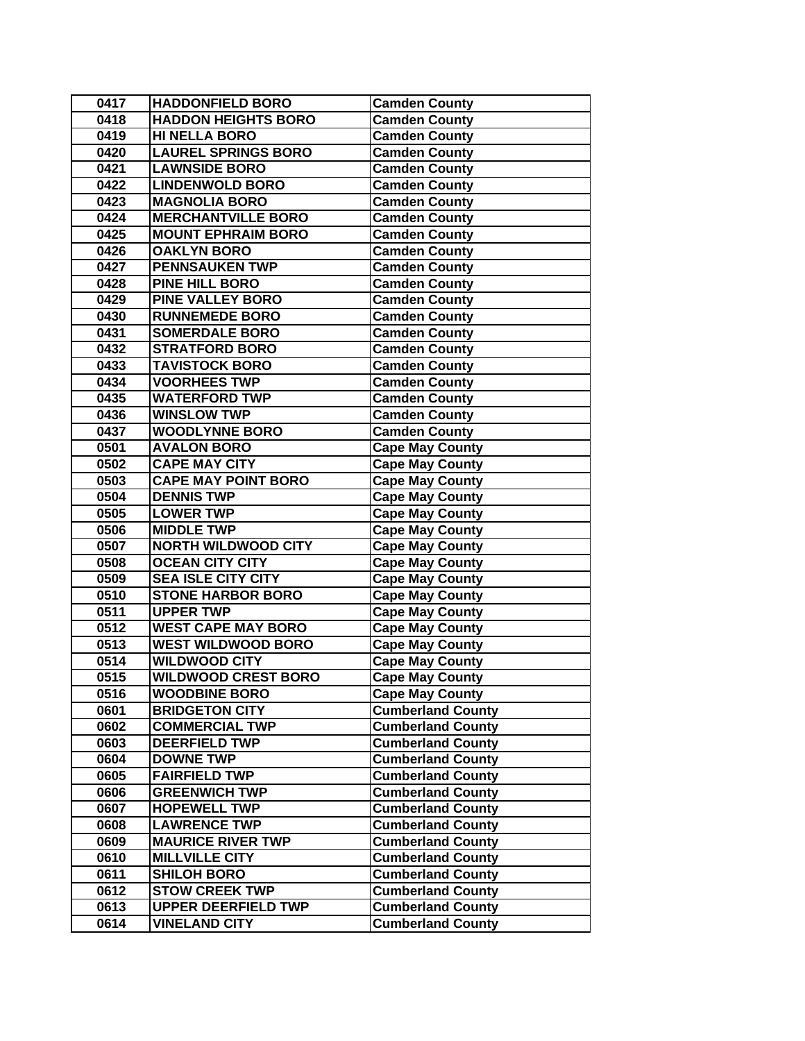| 0417 | <b>HADDONFIELD BORO</b>    | <b>Camden County</b>     |
|------|----------------------------|--------------------------|
| 0418 | <b>HADDON HEIGHTS BORO</b> | <b>Camden County</b>     |
| 0419 | <b>HI NELLA BORO</b>       | <b>Camden County</b>     |
| 0420 | <b>LAUREL SPRINGS BORO</b> | <b>Camden County</b>     |
| 0421 | <b>LAWNSIDE BORO</b>       | <b>Camden County</b>     |
| 0422 | <b>LINDENWOLD BORO</b>     | <b>Camden County</b>     |
| 0423 | <b>MAGNOLIA BORO</b>       | <b>Camden County</b>     |
| 0424 | <b>MERCHANTVILLE BORO</b>  | <b>Camden County</b>     |
| 0425 | <b>MOUNT EPHRAIM BORO</b>  | <b>Camden County</b>     |
| 0426 | <b>OAKLYN BORO</b>         | <b>Camden County</b>     |
| 0427 | <b>PENNSAUKEN TWP</b>      | <b>Camden County</b>     |
| 0428 | PINE HILL BORO             | <b>Camden County</b>     |
| 0429 | <b>PINE VALLEY BORO</b>    | <b>Camden County</b>     |
| 0430 | <b>RUNNEMEDE BORO</b>      | <b>Camden County</b>     |
| 0431 | <b>SOMERDALE BORO</b>      | <b>Camden County</b>     |
| 0432 | <b>STRATFORD BORO</b>      | <b>Camden County</b>     |
| 0433 | <b>TAVISTOCK BORO</b>      | <b>Camden County</b>     |
| 0434 | <b>VOORHEES TWP</b>        | <b>Camden County</b>     |
| 0435 | <b>WATERFORD TWP</b>       | <b>Camden County</b>     |
| 0436 | <b>WINSLOW TWP</b>         | <b>Camden County</b>     |
| 0437 | <b>WOODLYNNE BORO</b>      | <b>Camden County</b>     |
| 0501 | <b>AVALON BORO</b>         | <b>Cape May County</b>   |
| 0502 | <b>CAPE MAY CITY</b>       | <b>Cape May County</b>   |
| 0503 | <b>CAPE MAY POINT BORO</b> | <b>Cape May County</b>   |
| 0504 | <b>DENNIS TWP</b>          | <b>Cape May County</b>   |
| 0505 | <b>LOWER TWP</b>           | <b>Cape May County</b>   |
| 0506 | <b>MIDDLE TWP</b>          | <b>Cape May County</b>   |
| 0507 | <b>NORTH WILDWOOD CITY</b> | <b>Cape May County</b>   |
| 0508 | <b>OCEAN CITY CITY</b>     | <b>Cape May County</b>   |
| 0509 | <b>SEA ISLE CITY CITY</b>  | <b>Cape May County</b>   |
| 0510 | <b>STONE HARBOR BORO</b>   | <b>Cape May County</b>   |
| 0511 | <b>UPPER TWP</b>           | <b>Cape May County</b>   |
| 0512 | <b>WEST CAPE MAY BORO</b>  | <b>Cape May County</b>   |
| 0513 | <b>WEST WILDWOOD BORO</b>  | <b>Cape May County</b>   |
| 0514 | <b>WILDWOOD CITY</b>       | <b>Cape May County</b>   |
| 0515 | <b>WILDWOOD CREST BORO</b> | <b>Cape May County</b>   |
| 0516 | <b>WOODBINE BORO</b>       | <b>Cape May County</b>   |
| 0601 | <b>BRIDGETON CITY</b>      | <b>Cumberland County</b> |
| 0602 | <b>COMMERCIAL TWP</b>      | <b>Cumberland County</b> |
| 0603 | <b>DEERFIELD TWP</b>       | <b>Cumberland County</b> |
| 0604 | <b>DOWNE TWP</b>           | <b>Cumberland County</b> |
| 0605 | <b>FAIRFIELD TWP</b>       | <b>Cumberland County</b> |
| 0606 | <b>GREENWICH TWP</b>       | <b>Cumberland County</b> |
| 0607 | <b>HOPEWELL TWP</b>        | <b>Cumberland County</b> |
| 0608 | <b>LAWRENCE TWP</b>        | <b>Cumberland County</b> |
| 0609 | <b>MAURICE RIVER TWP</b>   | <b>Cumberland County</b> |
| 0610 | <b>MILLVILLE CITY</b>      | <b>Cumberland County</b> |
| 0611 | <b>SHILOH BORO</b>         | <b>Cumberland County</b> |
| 0612 | <b>STOW CREEK TWP</b>      | <b>Cumberland County</b> |
| 0613 | <b>UPPER DEERFIELD TWP</b> | <b>Cumberland County</b> |
| 0614 | <b>VINELAND CITY</b>       | <b>Cumberland County</b> |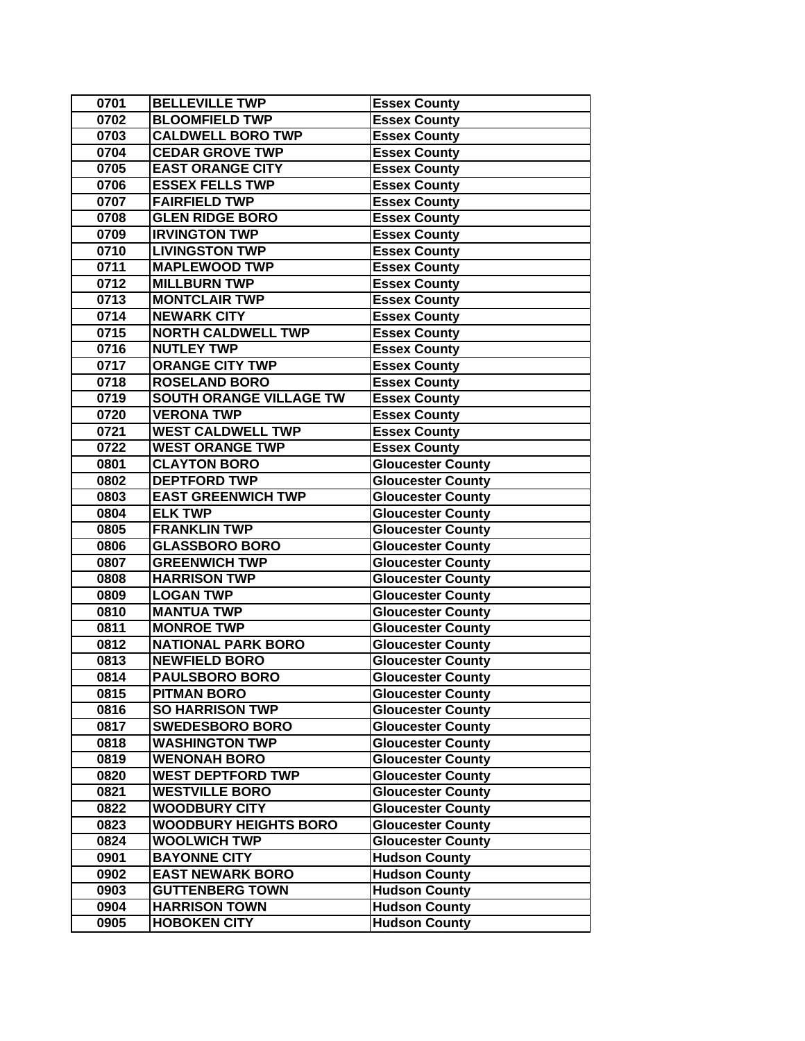| 0701 | <b>BELLEVILLE TWP</b>          | <b>Essex County</b>      |
|------|--------------------------------|--------------------------|
| 0702 | <b>BLOOMFIELD TWP</b>          | <b>Essex County</b>      |
| 0703 | <b>CALDWELL BORO TWP</b>       | <b>Essex County</b>      |
| 0704 | <b>CEDAR GROVE TWP</b>         | <b>Essex County</b>      |
| 0705 | <b>EAST ORANGE CITY</b>        | <b>Essex County</b>      |
| 0706 | <b>ESSEX FELLS TWP</b>         | <b>Essex County</b>      |
| 0707 | <b>FAIRFIELD TWP</b>           | <b>Essex County</b>      |
| 0708 | <b>GLEN RIDGE BORO</b>         | <b>Essex County</b>      |
| 0709 | <b>IRVINGTON TWP</b>           | <b>Essex County</b>      |
| 0710 | <b>LIVINGSTON TWP</b>          | <b>Essex County</b>      |
| 0711 | <b>MAPLEWOOD TWP</b>           | <b>Essex County</b>      |
| 0712 | <b>MILLBURN TWP</b>            | <b>Essex County</b>      |
| 0713 | <b>MONTCLAIR TWP</b>           | <b>Essex County</b>      |
| 0714 | <b>NEWARK CITY</b>             | <b>Essex County</b>      |
| 0715 | <b>NORTH CALDWELL TWP</b>      | <b>Essex County</b>      |
| 0716 | <b>NUTLEY TWP</b>              | <b>Essex County</b>      |
| 0717 | <b>ORANGE CITY TWP</b>         | <b>Essex County</b>      |
| 0718 | <b>ROSELAND BORO</b>           | <b>Essex County</b>      |
| 0719 | <b>SOUTH ORANGE VILLAGE TW</b> | <b>Essex County</b>      |
| 0720 | <b>VERONA TWP</b>              | <b>Essex County</b>      |
| 0721 | <b>WEST CALDWELL TWP</b>       | <b>Essex County</b>      |
| 0722 | <b>WEST ORANGE TWP</b>         | <b>Essex County</b>      |
| 0801 | <b>CLAYTON BORO</b>            | <b>Gloucester County</b> |
| 0802 | <b>DEPTFORD TWP</b>            | <b>Gloucester County</b> |
| 0803 | <b>EAST GREENWICH TWP</b>      | <b>Gloucester County</b> |
| 0804 | <b>ELK TWP</b>                 | <b>Gloucester County</b> |
| 0805 | <b>FRANKLIN TWP</b>            | <b>Gloucester County</b> |
| 0806 | <b>GLASSBORO BORO</b>          | <b>Gloucester County</b> |
| 0807 | <b>GREENWICH TWP</b>           | <b>Gloucester County</b> |
| 0808 | <b>HARRISON TWP</b>            | <b>Gloucester County</b> |
| 0809 | <b>LOGAN TWP</b>               | <b>Gloucester County</b> |
| 0810 | <b>MANTUA TWP</b>              | <b>Gloucester County</b> |
| 0811 | <b>MONROE TWP</b>              | <b>Gloucester County</b> |
| 0812 | <b>NATIONAL PARK BORO</b>      | <b>Gloucester County</b> |
| 0813 | <b>NEWFIELD BORO</b>           | <b>Gloucester County</b> |
| 0814 | <b>PAULSBORO BORO</b>          | <b>Gloucester County</b> |
| 0815 | <b>PITMAN BORO</b>             | <b>Gloucester County</b> |
| 0816 | <b>SO HARRISON TWP</b>         | <b>Gloucester County</b> |
| 0817 | <b>SWEDESBORO BORO</b>         | <b>Gloucester County</b> |
| 0818 | <b>WASHINGTON TWP</b>          | <b>Gloucester County</b> |
| 0819 | <b>WENONAH BORO</b>            | Gloucester County        |
| 0820 | <b>WEST DEPTFORD TWP</b>       | <b>Gloucester County</b> |
| 0821 | <b>WESTVILLE BORO</b>          | <b>Gloucester County</b> |
| 0822 | <b>WOODBURY CITY</b>           | <b>Gloucester County</b> |
| 0823 | <b>WOODBURY HEIGHTS BORO</b>   | <b>Gloucester County</b> |
| 0824 | <b>WOOLWICH TWP</b>            | <b>Gloucester County</b> |
| 0901 | <b>BAYONNE CITY</b>            | <b>Hudson County</b>     |
| 0902 | <b>EAST NEWARK BORO</b>        | <b>Hudson County</b>     |
| 0903 | <b>GUTTENBERG TOWN</b>         | <b>Hudson County</b>     |
| 0904 | <b>HARRISON TOWN</b>           | <b>Hudson County</b>     |
| 0905 | <b>HOBOKEN CITY</b>            | <b>Hudson County</b>     |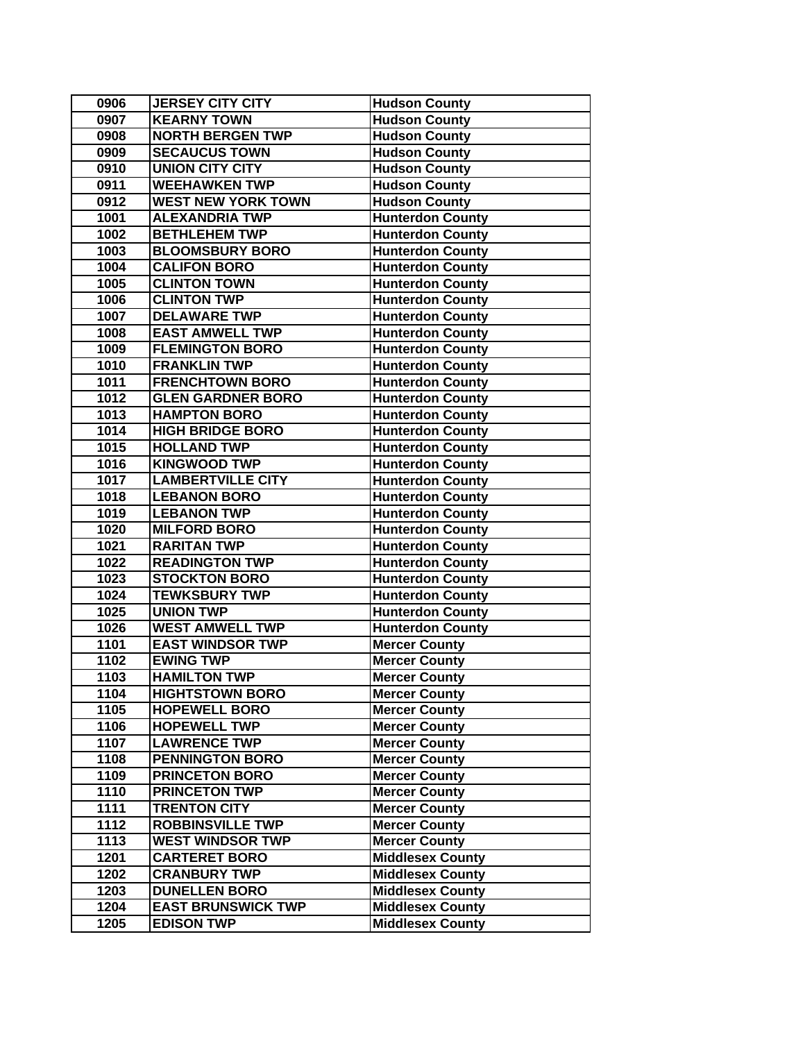| 0906   | <b>JERSEY CITY CITY</b>   | <b>Hudson County</b>    |
|--------|---------------------------|-------------------------|
| 0907   | <b>KEARNY TOWN</b>        | <b>Hudson County</b>    |
| 0908   | <b>NORTH BERGEN TWP</b>   | <b>Hudson County</b>    |
| 0909   | <b>SECAUCUS TOWN</b>      | <b>Hudson County</b>    |
| 0910   | <b>UNION CITY CITY</b>    | <b>Hudson County</b>    |
| 0911   | <b>WEEHAWKEN TWP</b>      | <b>Hudson County</b>    |
| 0912   | <b>WEST NEW YORK TOWN</b> | <b>Hudson County</b>    |
| 1001   | <b>ALEXANDRIA TWP</b>     | <b>Hunterdon County</b> |
| 1002   | <b>BETHLEHEM TWP</b>      | <b>Hunterdon County</b> |
| 1003   | <b>BLOOMSBURY BORO</b>    | <b>Hunterdon County</b> |
| 1004   | <b>CALIFON BORO</b>       | <b>Hunterdon County</b> |
| 1005   | <b>CLINTON TOWN</b>       | <b>Hunterdon County</b> |
| 1006   | <b>CLINTON TWP</b>        | <b>Hunterdon County</b> |
| 1007   | <b>DELAWARE TWP</b>       | <b>Hunterdon County</b> |
| 1008   | <b>EAST AMWELL TWP</b>    | <b>Hunterdon County</b> |
| 1009   | <b>FLEMINGTON BORO</b>    | <b>Hunterdon County</b> |
| 1010   | <b>FRANKLIN TWP</b>       | <b>Hunterdon County</b> |
| 1011   | <b>FRENCHTOWN BORO</b>    | <b>Hunterdon County</b> |
| 1012   | <b>GLEN GARDNER BORO</b>  | <b>Hunterdon County</b> |
| 1013   | <b>HAMPTON BORO</b>       | <b>Hunterdon County</b> |
| 1014   | <b>HIGH BRIDGE BORO</b>   | <b>Hunterdon County</b> |
| 1015   | <b>HOLLAND TWP</b>        | <b>Hunterdon County</b> |
| 1016   | <b>KINGWOOD TWP</b>       | <b>Hunterdon County</b> |
| $1017$ | <b>LAMBERTVILLE CITY</b>  | <b>Hunterdon County</b> |
| 1018   | <b>LEBANON BORO</b>       | <b>Hunterdon County</b> |
| 1019   | <b>LEBANON TWP</b>        | <b>Hunterdon County</b> |
| 1020   | <b>MILFORD BORO</b>       | <b>Hunterdon County</b> |
| 1021   | <b>RARITAN TWP</b>        | <b>Hunterdon County</b> |
| 1022   | <b>READINGTON TWP</b>     | <b>Hunterdon County</b> |
| 1023   | <b>STOCKTON BORO</b>      | <b>Hunterdon County</b> |
| 1024   | <b>TEWKSBURY TWP</b>      | <b>Hunterdon County</b> |
| 1025   | <b>UNION TWP</b>          | <b>Hunterdon County</b> |
| 1026   | <b>WEST AMWELL TWP</b>    | <b>Hunterdon County</b> |
| 1101   | <b>EAST WINDSOR TWP</b>   | <b>Mercer County</b>    |
| 1102   | <b>EWING TWP</b>          | <b>Mercer County</b>    |
| 1103   | <b>HAMILTON TWP</b>       | <b>Mercer County</b>    |
| 1104   | <b>HIGHTSTOWN BORO</b>    | <b>Mercer County</b>    |
| 1105   | <b>HOPEWELL BORO</b>      | <b>Mercer County</b>    |
| 1106   | <b>HOPEWELL TWP</b>       | <b>Mercer County</b>    |
| 1107   | <b>LAWRENCE TWP</b>       | <b>Mercer County</b>    |
| 1108   | <b>PENNINGTON BORO</b>    | Mercer County           |
| 1109   | <b>PRINCETON BORO</b>     | <b>Mercer County</b>    |
| 1110   | <b>PRINCETON TWP</b>      | <b>Mercer County</b>    |
| 1111   | <b>TRENTON CITY</b>       | <b>Mercer County</b>    |
| 1112   | <b>ROBBINSVILLE TWP</b>   | <b>Mercer County</b>    |
| 1113   | <b>WEST WINDSOR TWP</b>   | <b>Mercer County</b>    |
| 1201   | <b>CARTERET BORO</b>      | <b>Middlesex County</b> |
| 1202   | <b>CRANBURY TWP</b>       | <b>Middlesex County</b> |
| 1203   | <b>DUNELLEN BORO</b>      | <b>Middlesex County</b> |
| 1204   | <b>EAST BRUNSWICK TWP</b> | <b>Middlesex County</b> |
| 1205   | <b>EDISON TWP</b>         | <b>Middlesex County</b> |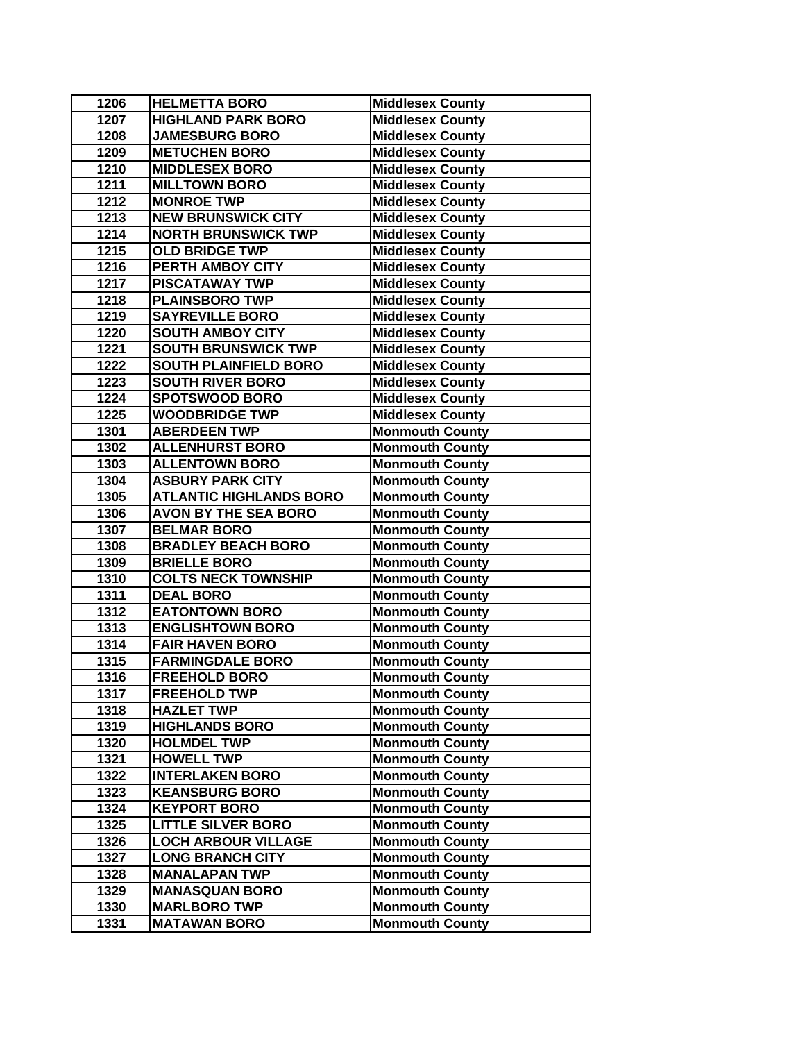| 1206 | <b>HELMETTA BORO</b>           | <b>Middlesex County</b> |
|------|--------------------------------|-------------------------|
| 1207 | <b>HIGHLAND PARK BORO</b>      | <b>Middlesex County</b> |
| 1208 | <b>JAMESBURG BORO</b>          | <b>Middlesex County</b> |
| 1209 | <b>METUCHEN BORO</b>           | <b>Middlesex County</b> |
| 1210 | <b>MIDDLESEX BORO</b>          | <b>Middlesex County</b> |
| 1211 | <b>MILLTOWN BORO</b>           | <b>Middlesex County</b> |
| 1212 | <b>MONROE TWP</b>              | <b>Middlesex County</b> |
| 1213 | <b>NEW BRUNSWICK CITY</b>      | <b>Middlesex County</b> |
| 1214 | <b>NORTH BRUNSWICK TWP</b>     | <b>Middlesex County</b> |
| 1215 | <b>OLD BRIDGE TWP</b>          | <b>Middlesex County</b> |
| 1216 | PERTH AMBOY CITY               | <b>Middlesex County</b> |
| 1217 | <b>PISCATAWAY TWP</b>          | <b>Middlesex County</b> |
| 1218 | <b>PLAINSBORO TWP</b>          | <b>Middlesex County</b> |
| 1219 | <b>SAYREVILLE BORO</b>         | <b>Middlesex County</b> |
| 1220 | <b>SOUTH AMBOY CITY</b>        | <b>Middlesex County</b> |
| 1221 | <b>SOUTH BRUNSWICK TWP</b>     | <b>Middlesex County</b> |
| 1222 | <b>SOUTH PLAINFIELD BORO</b>   | <b>Middlesex County</b> |
| 1223 | <b>SOUTH RIVER BORO</b>        | <b>Middlesex County</b> |
| 1224 | <b>SPOTSWOOD BORO</b>          | <b>Middlesex County</b> |
| 1225 | <b>WOODBRIDGE TWP</b>          | <b>Middlesex County</b> |
| 1301 | <b>ABERDEEN TWP</b>            | <b>Monmouth County</b>  |
| 1302 | <b>ALLENHURST BORO</b>         | <b>Monmouth County</b>  |
| 1303 | <b>ALLENTOWN BORO</b>          | <b>Monmouth County</b>  |
| 1304 | <b>ASBURY PARK CITY</b>        | <b>Monmouth County</b>  |
| 1305 | <b>ATLANTIC HIGHLANDS BORO</b> | <b>Monmouth County</b>  |
| 1306 | <b>AVON BY THE SEA BORO</b>    | <b>Monmouth County</b>  |
| 1307 | <b>BELMAR BORO</b>             | <b>Monmouth County</b>  |
| 1308 | <b>BRADLEY BEACH BORO</b>      | <b>Monmouth County</b>  |
| 1309 | <b>BRIELLE BORO</b>            | <b>Monmouth County</b>  |
| 1310 | <b>COLTS NECK TOWNSHIP</b>     | <b>Monmouth County</b>  |
| 1311 | <b>DEAL BORO</b>               | <b>Monmouth County</b>  |
| 1312 | <b>EATONTOWN BORO</b>          | <b>Monmouth County</b>  |
| 1313 | <b>ENGLISHTOWN BORO</b>        | <b>Monmouth County</b>  |
| 1314 | <b>FAIR HAVEN BORO</b>         | <b>Monmouth County</b>  |
| 1315 | <b>FARMINGDALE BORO</b>        | <b>Monmouth County</b>  |
| 1316 | <b>FREEHOLD BORO</b>           | <b>Monmouth County</b>  |
| 1317 | <b>FREEHOLD TWP</b>            | <b>Monmouth County</b>  |
| 1318 | <b>HAZLET TWP</b>              | <b>Monmouth County</b>  |
| 1319 | <b>HIGHLANDS BORO</b>          | <b>Monmouth County</b>  |
| 1320 | <b>HOLMDEL TWP</b>             | <b>Monmouth County</b>  |
| 1321 | <b>HOWELL TWP</b>              | <b>Monmouth County</b>  |
| 1322 | <b>INTERLAKEN BORO</b>         | <b>Monmouth County</b>  |
| 1323 | <b>KEANSBURG BORO</b>          | <b>Monmouth County</b>  |
| 1324 | <b>KEYPORT BORO</b>            | <b>Monmouth County</b>  |
| 1325 | <b>LITTLE SILVER BORO</b>      | <b>Monmouth County</b>  |
| 1326 | <b>LOCH ARBOUR VILLAGE</b>     | <b>Monmouth County</b>  |
| 1327 | <b>LONG BRANCH CITY</b>        | <b>Monmouth County</b>  |
| 1328 | <b>MANALAPAN TWP</b>           | <b>Monmouth County</b>  |
| 1329 | <b>MANASQUAN BORO</b>          | <b>Monmouth County</b>  |
| 1330 | <b>MARLBORO TWP</b>            | <b>Monmouth County</b>  |
| 1331 | <b>MATAWAN BORO</b>            | <b>Monmouth County</b>  |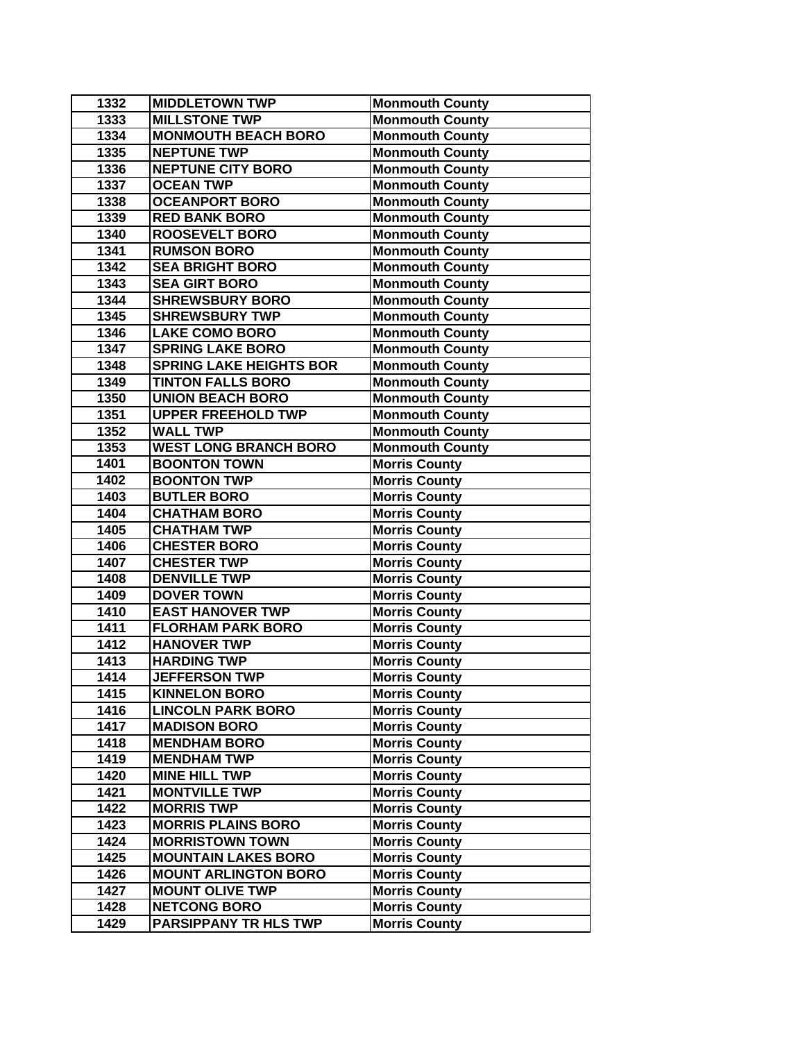| 1332 | <b>MIDDLETOWN TWP</b>          | <b>Monmouth County</b> |
|------|--------------------------------|------------------------|
| 1333 | <b>MILLSTONE TWP</b>           | <b>Monmouth County</b> |
| 1334 | <b>MONMOUTH BEACH BORO</b>     | <b>Monmouth County</b> |
| 1335 | <b>NEPTUNE TWP</b>             | <b>Monmouth County</b> |
| 1336 | <b>NEPTUNE CITY BORO</b>       | <b>Monmouth County</b> |
| 1337 | <b>OCEAN TWP</b>               | <b>Monmouth County</b> |
| 1338 | <b>OCEANPORT BORO</b>          | <b>Monmouth County</b> |
| 1339 | <b>RED BANK BORO</b>           | <b>Monmouth County</b> |
| 1340 | <b>ROOSEVELT BORO</b>          | <b>Monmouth County</b> |
| 1341 | <b>RUMSON BORO</b>             | <b>Monmouth County</b> |
| 1342 | <b>SEA BRIGHT BORO</b>         | <b>Monmouth County</b> |
| 1343 | <b>SEA GIRT BORO</b>           | <b>Monmouth County</b> |
| 1344 | <b>SHREWSBURY BORO</b>         | <b>Monmouth County</b> |
| 1345 | <b>SHREWSBURY TWP</b>          | <b>Monmouth County</b> |
| 1346 | <b>LAKE COMO BORO</b>          | <b>Monmouth County</b> |
| 1347 | <b>SPRING LAKE BORO</b>        | <b>Monmouth County</b> |
| 1348 | <b>SPRING LAKE HEIGHTS BOR</b> | <b>Monmouth County</b> |
| 1349 | <b>TINTON FALLS BORO</b>       | <b>Monmouth County</b> |
| 1350 | <b>UNION BEACH BORO</b>        | <b>Monmouth County</b> |
| 1351 | <b>UPPER FREEHOLD TWP</b>      | <b>Monmouth County</b> |
| 1352 | <b>WALL TWP</b>                | <b>Monmouth County</b> |
| 1353 | <b>WEST LONG BRANCH BORO</b>   | <b>Monmouth County</b> |
| 1401 | <b>BOONTON TOWN</b>            | <b>Morris County</b>   |
| 1402 | <b>BOONTON TWP</b>             | <b>Morris County</b>   |
| 1403 | <b>BUTLER BORO</b>             | <b>Morris County</b>   |
| 1404 | <b>CHATHAM BORO</b>            | <b>Morris County</b>   |
| 1405 | <b>CHATHAM TWP</b>             | <b>Morris County</b>   |
| 1406 | <b>CHESTER BORO</b>            | <b>Morris County</b>   |
| 1407 | <b>CHESTER TWP</b>             | <b>Morris County</b>   |
| 1408 | <b>DENVILLE TWP</b>            | <b>Morris County</b>   |
| 1409 | <b>DOVER TOWN</b>              | <b>Morris County</b>   |
| 1410 | <b>EAST HANOVER TWP</b>        | <b>Morris County</b>   |
| 1411 | <b>FLORHAM PARK BORO</b>       | <b>Morris County</b>   |
| 1412 | <b>HANOVER TWP</b>             | <b>Morris County</b>   |
| 1413 | <b>HARDING TWP</b>             | <b>Morris County</b>   |
| 1414 | <b>JEFFERSON TWP</b>           | <b>Morris County</b>   |
| 1415 | <b>KINNELON BORO</b>           | <b>Morris County</b>   |
| 1416 | <b>LINCOLN PARK BORO</b>       | <b>Morris County</b>   |
| 1417 | <b>MADISON BORO</b>            | <b>Morris County</b>   |
| 1418 | <b>MENDHAM BORO</b>            | <b>Morris County</b>   |
| 1419 | <b>MENDHAM TWP</b>             | <b>Morris County</b>   |
| 1420 | <b>MINE HILL TWP</b>           | <b>Morris County</b>   |
| 1421 | <b>MONTVILLE TWP</b>           | <b>Morris County</b>   |
| 1422 | <b>MORRIS TWP</b>              | <b>Morris County</b>   |
| 1423 | <b>MORRIS PLAINS BORO</b>      | <b>Morris County</b>   |
| 1424 | <b>MORRISTOWN TOWN</b>         | <b>Morris County</b>   |
| 1425 | <b>MOUNTAIN LAKES BORO</b>     | <b>Morris County</b>   |
| 1426 | <b>MOUNT ARLINGTON BORO</b>    | <b>Morris County</b>   |
| 1427 | <b>MOUNT OLIVE TWP</b>         | <b>Morris County</b>   |
| 1428 | <b>NETCONG BORO</b>            | <b>Morris County</b>   |
| 1429 | <b>PARSIPPANY TR HLS TWP</b>   | <b>Morris County</b>   |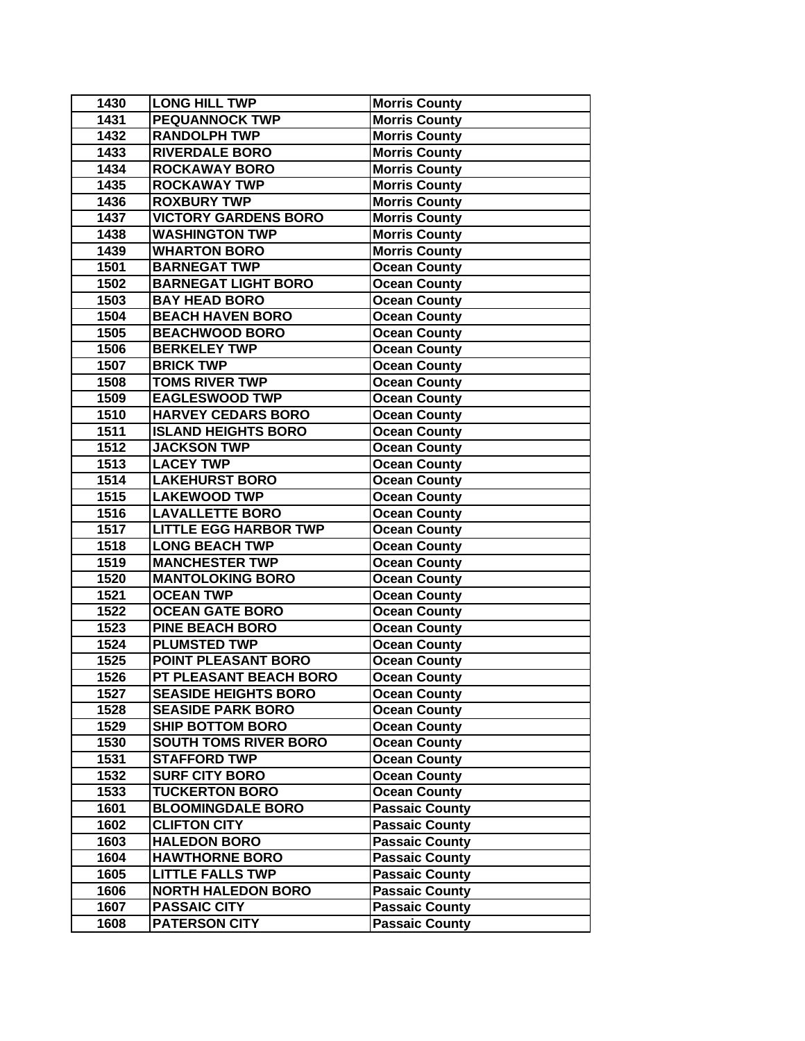| 1430 | <b>LONG HILL TWP</b>         | <b>Morris County</b>  |
|------|------------------------------|-----------------------|
| 1431 | <b>PEQUANNOCK TWP</b>        | <b>Morris County</b>  |
| 1432 | <b>RANDOLPH TWP</b>          | <b>Morris County</b>  |
| 1433 | <b>RIVERDALE BORO</b>        | <b>Morris County</b>  |
| 1434 | <b>ROCKAWAY BORO</b>         | <b>Morris County</b>  |
| 1435 | <b>ROCKAWAY TWP</b>          | <b>Morris County</b>  |
| 1436 | <b>ROXBURY TWP</b>           | <b>Morris County</b>  |
| 1437 | <b>VICTORY GARDENS BORO</b>  | <b>Morris County</b>  |
| 1438 | <b>WASHINGTON TWP</b>        | <b>Morris County</b>  |
| 1439 | <b>WHARTON BORO</b>          | <b>Morris County</b>  |
| 1501 | <b>BARNEGAT TWP</b>          | <b>Ocean County</b>   |
| 1502 | <b>BARNEGAT LIGHT BORO</b>   | <b>Ocean County</b>   |
| 1503 | <b>BAY HEAD BORO</b>         | <b>Ocean County</b>   |
| 1504 | <b>BEACH HAVEN BORO</b>      | <b>Ocean County</b>   |
| 1505 | <b>BEACHWOOD BORO</b>        | <b>Ocean County</b>   |
| 1506 | <b>BERKELEY TWP</b>          | <b>Ocean County</b>   |
| 1507 | <b>BRICK TWP</b>             | <b>Ocean County</b>   |
| 1508 | <b>TOMS RIVER TWP</b>        | <b>Ocean County</b>   |
| 1509 | <b>EAGLESWOOD TWP</b>        | <b>Ocean County</b>   |
| 1510 | <b>HARVEY CEDARS BORO</b>    | <b>Ocean County</b>   |
| 1511 | <b>ISLAND HEIGHTS BORO</b>   | <b>Ocean County</b>   |
| 1512 | <b>JACKSON TWP</b>           | <b>Ocean County</b>   |
| 1513 | <b>LACEY TWP</b>             | <b>Ocean County</b>   |
| 1514 | <b>LAKEHURST BORO</b>        | <b>Ocean County</b>   |
| 1515 | <b>LAKEWOOD TWP</b>          | <b>Ocean County</b>   |
| 1516 | <b>LAVALLETTE BORO</b>       | <b>Ocean County</b>   |
| 1517 | <b>LITTLE EGG HARBOR TWP</b> | <b>Ocean County</b>   |
| 1518 | <b>LONG BEACH TWP</b>        | <b>Ocean County</b>   |
| 1519 | <b>MANCHESTER TWP</b>        | <b>Ocean County</b>   |
| 1520 | <b>MANTOLOKING BORO</b>      | <b>Ocean County</b>   |
| 1521 | <b>OCEAN TWP</b>             | <b>Ocean County</b>   |
| 1522 | <b>OCEAN GATE BORO</b>       | <b>Ocean County</b>   |
| 1523 | <b>PINE BEACH BORO</b>       | <b>Ocean County</b>   |
| 1524 | <b>PLUMSTED TWP</b>          | <b>Ocean County</b>   |
| 1525 | POINT PLEASANT BORO          | <b>Ocean County</b>   |
| 1526 | PT PLEASANT BEACH BORO       | <b>Ocean County</b>   |
| 1527 | <b>SEASIDE HEIGHTS BORO</b>  | <b>Ocean County</b>   |
| 1528 | <b>SEASIDE PARK BORO</b>     | <b>Ocean County</b>   |
| 1529 | <b>SHIP BOTTOM BORO</b>      | <b>Ocean County</b>   |
| 1530 | <b>SOUTH TOMS RIVER BORO</b> | <b>Ocean County</b>   |
| 1531 | <b>STAFFORD TWP</b>          | <b>Ocean County</b>   |
| 1532 | <b>SURF CITY BORO</b>        | <b>Ocean County</b>   |
| 1533 | <b>TUCKERTON BORO</b>        | <b>Ocean County</b>   |
| 1601 | <b>BLOOMINGDALE BORO</b>     | <b>Passaic County</b> |
| 1602 | <b>CLIFTON CITY</b>          | <b>Passaic County</b> |
| 1603 | <b>HALEDON BORO</b>          | <b>Passaic County</b> |
| 1604 | <b>HAWTHORNE BORO</b>        | <b>Passaic County</b> |
| 1605 | <b>LITTLE FALLS TWP</b>      | <b>Passaic County</b> |
| 1606 | <b>NORTH HALEDON BORO</b>    | <b>Passaic County</b> |
| 1607 | <b>PASSAIC CITY</b>          | <b>Passaic County</b> |
| 1608 | <b>PATERSON CITY</b>         | Passaic County        |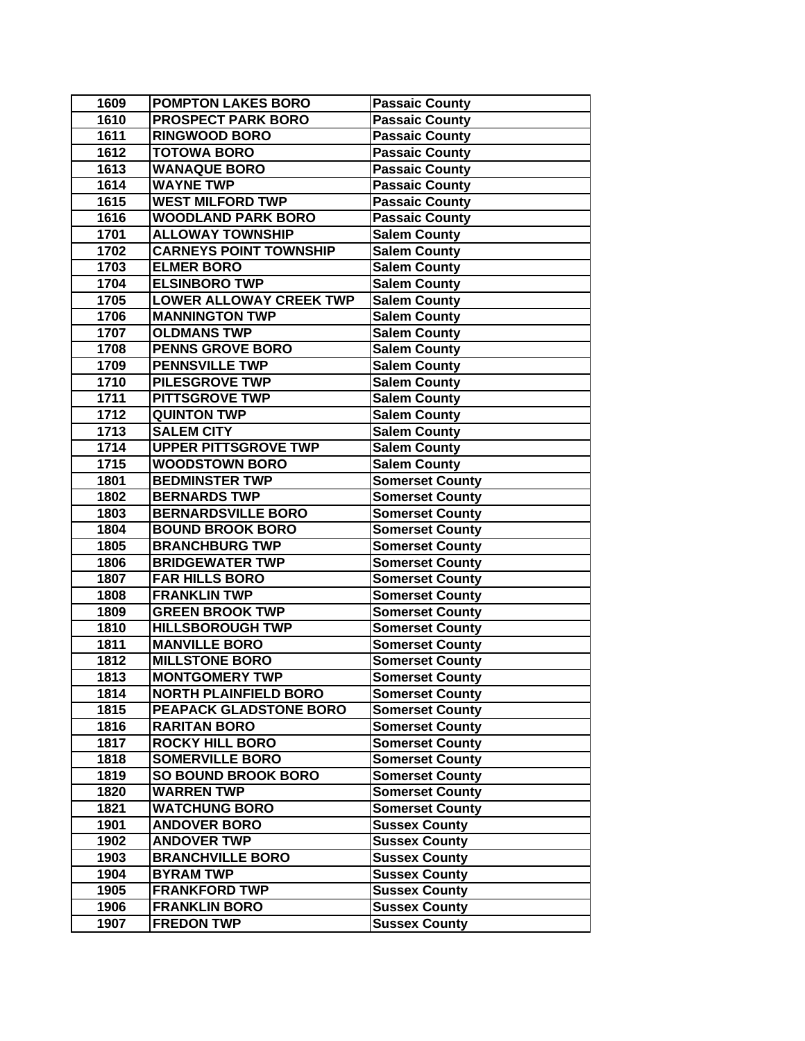| 1610<br><b>PROSPECT PARK BORO</b><br><b>Passaic County</b><br>1611<br><b>RINGWOOD BORO</b><br><b>Passaic County</b><br>1612<br><b>TOTOWA BORO</b><br><b>Passaic County</b><br>1613<br><b>WANAQUE BORO</b><br><b>Passaic County</b><br>1614<br><b>WAYNE TWP</b><br><b>Passaic County</b><br><b>WEST MILFORD TWP</b><br>1615<br><b>Passaic County</b><br><b>WOODLAND PARK BORO</b><br>1616<br><b>Passaic County</b><br><b>ALLOWAY TOWNSHIP</b><br>1701<br><b>Salem County</b><br><b>CARNEYS POINT TOWNSHIP</b><br>1702<br><b>Salem County</b><br>1703<br><b>ELMER BORO</b><br><b>Salem County</b><br>1704<br><b>ELSINBORO TWP</b><br><b>Salem County</b><br>1705<br><b>LOWER ALLOWAY CREEK TWP</b><br><b>Salem County</b><br><b>MANNINGTON TWP</b><br>1706<br><b>Salem County</b><br><b>OLDMANS TWP</b><br>1707<br><b>Salem County</b><br>1708<br><b>PENNS GROVE BORO</b><br><b>Salem County</b><br><b>PENNSVILLE TWP</b><br>1709<br><b>Salem County</b><br><b>PILESGROVE TWP</b><br>1710<br><b>Salem County</b><br><b>PITTSGROVE TWP</b><br>1711<br><b>Salem County</b><br>1712<br><b>QUINTON TWP</b><br><b>Salem County</b><br>1713<br><b>SALEM CITY</b><br><b>Salem County</b><br>1714<br><b>UPPER PITTSGROVE TWP</b><br><b>Salem County</b><br>1715<br><b>WOODSTOWN BORO</b><br><b>Salem County</b><br><b>BEDMINSTER TWP</b><br>1801<br><b>Somerset County</b><br>1802<br><b>BERNARDS TWP</b><br><b>Somerset County</b><br>1803<br><b>BERNARDSVILLE BORO</b><br><b>Somerset County</b><br>1804<br><b>BOUND BROOK BORO</b><br><b>Somerset County</b><br>1805<br><b>BRANCHBURG TWP</b><br><b>Somerset County</b><br>1806<br><b>BRIDGEWATER TWP</b><br><b>Somerset County</b><br>1807<br><b>FAR HILLS BORO</b><br><b>Somerset County</b><br><b>FRANKLIN TWP</b><br>1808<br><b>Somerset County</b><br>1809<br><b>GREEN BROOK TWP</b><br><b>Somerset County</b><br><b>HILLSBOROUGH TWP</b><br>1810<br><b>Somerset County</b><br><b>MANVILLE BORO</b><br>1811<br><b>Somerset County</b><br><b>MILLSTONE BORO</b><br>1812<br><b>Somerset County</b><br><b>MONTGOMERY TWP</b><br><b>Somerset County</b><br>1813<br><b>NORTH PLAINFIELD BORO</b><br>1814<br><b>Somerset County</b><br>1815<br>PEAPACK GLADSTONE BORO<br><b>Somerset County</b><br>1816<br><b>RARITAN BORO</b><br><b>Somerset County</b><br>1817<br><b>ROCKY HILL BORO</b><br><b>Somerset County</b><br><b>SOMERVILLE BORO</b><br><b>Somerset County</b><br>1818<br><b>SO BOUND BROOK BORO</b><br>1819<br><b>Somerset County</b><br>1820<br><b>WARREN TWP</b><br><b>Somerset County</b><br>1821<br><b>WATCHUNG BORO</b><br><b>Somerset County</b><br><b>ANDOVER BORO</b><br>1901<br><b>Sussex County</b><br><b>ANDOVER TWP</b><br>1902<br><b>Sussex County</b><br>1903<br><b>BRANCHVILLE BORO</b><br><b>Sussex County</b><br>1904<br><b>BYRAM TWP</b><br><b>Sussex County</b><br>1905<br><b>FRANKFORD TWP</b><br><b>Sussex County</b><br>1906<br><b>FRANKLIN BORO</b><br><b>Sussex County</b> | 1609 | <b>POMPTON LAKES BORO</b> | <b>Passaic County</b> |
|-------------------------------------------------------------------------------------------------------------------------------------------------------------------------------------------------------------------------------------------------------------------------------------------------------------------------------------------------------------------------------------------------------------------------------------------------------------------------------------------------------------------------------------------------------------------------------------------------------------------------------------------------------------------------------------------------------------------------------------------------------------------------------------------------------------------------------------------------------------------------------------------------------------------------------------------------------------------------------------------------------------------------------------------------------------------------------------------------------------------------------------------------------------------------------------------------------------------------------------------------------------------------------------------------------------------------------------------------------------------------------------------------------------------------------------------------------------------------------------------------------------------------------------------------------------------------------------------------------------------------------------------------------------------------------------------------------------------------------------------------------------------------------------------------------------------------------------------------------------------------------------------------------------------------------------------------------------------------------------------------------------------------------------------------------------------------------------------------------------------------------------------------------------------------------------------------------------------------------------------------------------------------------------------------------------------------------------------------------------------------------------------------------------------------------------------------------------------------------------------------------------------------------------------------------------------------------------------------------------------------------------------------------------------------------------------------------------------------------------------------------------------------------------------------------------------------------------------------------------------------------------------------------------------------------------------------------|------|---------------------------|-----------------------|
|                                                                                                                                                                                                                                                                                                                                                                                                                                                                                                                                                                                                                                                                                                                                                                                                                                                                                                                                                                                                                                                                                                                                                                                                                                                                                                                                                                                                                                                                                                                                                                                                                                                                                                                                                                                                                                                                                                                                                                                                                                                                                                                                                                                                                                                                                                                                                                                                                                                                                                                                                                                                                                                                                                                                                                                                                                                                                                                                                       |      |                           |                       |
|                                                                                                                                                                                                                                                                                                                                                                                                                                                                                                                                                                                                                                                                                                                                                                                                                                                                                                                                                                                                                                                                                                                                                                                                                                                                                                                                                                                                                                                                                                                                                                                                                                                                                                                                                                                                                                                                                                                                                                                                                                                                                                                                                                                                                                                                                                                                                                                                                                                                                                                                                                                                                                                                                                                                                                                                                                                                                                                                                       |      |                           |                       |
|                                                                                                                                                                                                                                                                                                                                                                                                                                                                                                                                                                                                                                                                                                                                                                                                                                                                                                                                                                                                                                                                                                                                                                                                                                                                                                                                                                                                                                                                                                                                                                                                                                                                                                                                                                                                                                                                                                                                                                                                                                                                                                                                                                                                                                                                                                                                                                                                                                                                                                                                                                                                                                                                                                                                                                                                                                                                                                                                                       |      |                           |                       |
|                                                                                                                                                                                                                                                                                                                                                                                                                                                                                                                                                                                                                                                                                                                                                                                                                                                                                                                                                                                                                                                                                                                                                                                                                                                                                                                                                                                                                                                                                                                                                                                                                                                                                                                                                                                                                                                                                                                                                                                                                                                                                                                                                                                                                                                                                                                                                                                                                                                                                                                                                                                                                                                                                                                                                                                                                                                                                                                                                       |      |                           |                       |
|                                                                                                                                                                                                                                                                                                                                                                                                                                                                                                                                                                                                                                                                                                                                                                                                                                                                                                                                                                                                                                                                                                                                                                                                                                                                                                                                                                                                                                                                                                                                                                                                                                                                                                                                                                                                                                                                                                                                                                                                                                                                                                                                                                                                                                                                                                                                                                                                                                                                                                                                                                                                                                                                                                                                                                                                                                                                                                                                                       |      |                           |                       |
|                                                                                                                                                                                                                                                                                                                                                                                                                                                                                                                                                                                                                                                                                                                                                                                                                                                                                                                                                                                                                                                                                                                                                                                                                                                                                                                                                                                                                                                                                                                                                                                                                                                                                                                                                                                                                                                                                                                                                                                                                                                                                                                                                                                                                                                                                                                                                                                                                                                                                                                                                                                                                                                                                                                                                                                                                                                                                                                                                       |      |                           |                       |
|                                                                                                                                                                                                                                                                                                                                                                                                                                                                                                                                                                                                                                                                                                                                                                                                                                                                                                                                                                                                                                                                                                                                                                                                                                                                                                                                                                                                                                                                                                                                                                                                                                                                                                                                                                                                                                                                                                                                                                                                                                                                                                                                                                                                                                                                                                                                                                                                                                                                                                                                                                                                                                                                                                                                                                                                                                                                                                                                                       |      |                           |                       |
|                                                                                                                                                                                                                                                                                                                                                                                                                                                                                                                                                                                                                                                                                                                                                                                                                                                                                                                                                                                                                                                                                                                                                                                                                                                                                                                                                                                                                                                                                                                                                                                                                                                                                                                                                                                                                                                                                                                                                                                                                                                                                                                                                                                                                                                                                                                                                                                                                                                                                                                                                                                                                                                                                                                                                                                                                                                                                                                                                       |      |                           |                       |
|                                                                                                                                                                                                                                                                                                                                                                                                                                                                                                                                                                                                                                                                                                                                                                                                                                                                                                                                                                                                                                                                                                                                                                                                                                                                                                                                                                                                                                                                                                                                                                                                                                                                                                                                                                                                                                                                                                                                                                                                                                                                                                                                                                                                                                                                                                                                                                                                                                                                                                                                                                                                                                                                                                                                                                                                                                                                                                                                                       |      |                           |                       |
|                                                                                                                                                                                                                                                                                                                                                                                                                                                                                                                                                                                                                                                                                                                                                                                                                                                                                                                                                                                                                                                                                                                                                                                                                                                                                                                                                                                                                                                                                                                                                                                                                                                                                                                                                                                                                                                                                                                                                                                                                                                                                                                                                                                                                                                                                                                                                                                                                                                                                                                                                                                                                                                                                                                                                                                                                                                                                                                                                       |      |                           |                       |
|                                                                                                                                                                                                                                                                                                                                                                                                                                                                                                                                                                                                                                                                                                                                                                                                                                                                                                                                                                                                                                                                                                                                                                                                                                                                                                                                                                                                                                                                                                                                                                                                                                                                                                                                                                                                                                                                                                                                                                                                                                                                                                                                                                                                                                                                                                                                                                                                                                                                                                                                                                                                                                                                                                                                                                                                                                                                                                                                                       |      |                           |                       |
|                                                                                                                                                                                                                                                                                                                                                                                                                                                                                                                                                                                                                                                                                                                                                                                                                                                                                                                                                                                                                                                                                                                                                                                                                                                                                                                                                                                                                                                                                                                                                                                                                                                                                                                                                                                                                                                                                                                                                                                                                                                                                                                                                                                                                                                                                                                                                                                                                                                                                                                                                                                                                                                                                                                                                                                                                                                                                                                                                       |      |                           |                       |
|                                                                                                                                                                                                                                                                                                                                                                                                                                                                                                                                                                                                                                                                                                                                                                                                                                                                                                                                                                                                                                                                                                                                                                                                                                                                                                                                                                                                                                                                                                                                                                                                                                                                                                                                                                                                                                                                                                                                                                                                                                                                                                                                                                                                                                                                                                                                                                                                                                                                                                                                                                                                                                                                                                                                                                                                                                                                                                                                                       |      |                           |                       |
|                                                                                                                                                                                                                                                                                                                                                                                                                                                                                                                                                                                                                                                                                                                                                                                                                                                                                                                                                                                                                                                                                                                                                                                                                                                                                                                                                                                                                                                                                                                                                                                                                                                                                                                                                                                                                                                                                                                                                                                                                                                                                                                                                                                                                                                                                                                                                                                                                                                                                                                                                                                                                                                                                                                                                                                                                                                                                                                                                       |      |                           |                       |
|                                                                                                                                                                                                                                                                                                                                                                                                                                                                                                                                                                                                                                                                                                                                                                                                                                                                                                                                                                                                                                                                                                                                                                                                                                                                                                                                                                                                                                                                                                                                                                                                                                                                                                                                                                                                                                                                                                                                                                                                                                                                                                                                                                                                                                                                                                                                                                                                                                                                                                                                                                                                                                                                                                                                                                                                                                                                                                                                                       |      |                           |                       |
|                                                                                                                                                                                                                                                                                                                                                                                                                                                                                                                                                                                                                                                                                                                                                                                                                                                                                                                                                                                                                                                                                                                                                                                                                                                                                                                                                                                                                                                                                                                                                                                                                                                                                                                                                                                                                                                                                                                                                                                                                                                                                                                                                                                                                                                                                                                                                                                                                                                                                                                                                                                                                                                                                                                                                                                                                                                                                                                                                       |      |                           |                       |
|                                                                                                                                                                                                                                                                                                                                                                                                                                                                                                                                                                                                                                                                                                                                                                                                                                                                                                                                                                                                                                                                                                                                                                                                                                                                                                                                                                                                                                                                                                                                                                                                                                                                                                                                                                                                                                                                                                                                                                                                                                                                                                                                                                                                                                                                                                                                                                                                                                                                                                                                                                                                                                                                                                                                                                                                                                                                                                                                                       |      |                           |                       |
|                                                                                                                                                                                                                                                                                                                                                                                                                                                                                                                                                                                                                                                                                                                                                                                                                                                                                                                                                                                                                                                                                                                                                                                                                                                                                                                                                                                                                                                                                                                                                                                                                                                                                                                                                                                                                                                                                                                                                                                                                                                                                                                                                                                                                                                                                                                                                                                                                                                                                                                                                                                                                                                                                                                                                                                                                                                                                                                                                       |      |                           |                       |
|                                                                                                                                                                                                                                                                                                                                                                                                                                                                                                                                                                                                                                                                                                                                                                                                                                                                                                                                                                                                                                                                                                                                                                                                                                                                                                                                                                                                                                                                                                                                                                                                                                                                                                                                                                                                                                                                                                                                                                                                                                                                                                                                                                                                                                                                                                                                                                                                                                                                                                                                                                                                                                                                                                                                                                                                                                                                                                                                                       |      |                           |                       |
|                                                                                                                                                                                                                                                                                                                                                                                                                                                                                                                                                                                                                                                                                                                                                                                                                                                                                                                                                                                                                                                                                                                                                                                                                                                                                                                                                                                                                                                                                                                                                                                                                                                                                                                                                                                                                                                                                                                                                                                                                                                                                                                                                                                                                                                                                                                                                                                                                                                                                                                                                                                                                                                                                                                                                                                                                                                                                                                                                       |      |                           |                       |
|                                                                                                                                                                                                                                                                                                                                                                                                                                                                                                                                                                                                                                                                                                                                                                                                                                                                                                                                                                                                                                                                                                                                                                                                                                                                                                                                                                                                                                                                                                                                                                                                                                                                                                                                                                                                                                                                                                                                                                                                                                                                                                                                                                                                                                                                                                                                                                                                                                                                                                                                                                                                                                                                                                                                                                                                                                                                                                                                                       |      |                           |                       |
|                                                                                                                                                                                                                                                                                                                                                                                                                                                                                                                                                                                                                                                                                                                                                                                                                                                                                                                                                                                                                                                                                                                                                                                                                                                                                                                                                                                                                                                                                                                                                                                                                                                                                                                                                                                                                                                                                                                                                                                                                                                                                                                                                                                                                                                                                                                                                                                                                                                                                                                                                                                                                                                                                                                                                                                                                                                                                                                                                       |      |                           |                       |
|                                                                                                                                                                                                                                                                                                                                                                                                                                                                                                                                                                                                                                                                                                                                                                                                                                                                                                                                                                                                                                                                                                                                                                                                                                                                                                                                                                                                                                                                                                                                                                                                                                                                                                                                                                                                                                                                                                                                                                                                                                                                                                                                                                                                                                                                                                                                                                                                                                                                                                                                                                                                                                                                                                                                                                                                                                                                                                                                                       |      |                           |                       |
|                                                                                                                                                                                                                                                                                                                                                                                                                                                                                                                                                                                                                                                                                                                                                                                                                                                                                                                                                                                                                                                                                                                                                                                                                                                                                                                                                                                                                                                                                                                                                                                                                                                                                                                                                                                                                                                                                                                                                                                                                                                                                                                                                                                                                                                                                                                                                                                                                                                                                                                                                                                                                                                                                                                                                                                                                                                                                                                                                       |      |                           |                       |
|                                                                                                                                                                                                                                                                                                                                                                                                                                                                                                                                                                                                                                                                                                                                                                                                                                                                                                                                                                                                                                                                                                                                                                                                                                                                                                                                                                                                                                                                                                                                                                                                                                                                                                                                                                                                                                                                                                                                                                                                                                                                                                                                                                                                                                                                                                                                                                                                                                                                                                                                                                                                                                                                                                                                                                                                                                                                                                                                                       |      |                           |                       |
|                                                                                                                                                                                                                                                                                                                                                                                                                                                                                                                                                                                                                                                                                                                                                                                                                                                                                                                                                                                                                                                                                                                                                                                                                                                                                                                                                                                                                                                                                                                                                                                                                                                                                                                                                                                                                                                                                                                                                                                                                                                                                                                                                                                                                                                                                                                                                                                                                                                                                                                                                                                                                                                                                                                                                                                                                                                                                                                                                       |      |                           |                       |
|                                                                                                                                                                                                                                                                                                                                                                                                                                                                                                                                                                                                                                                                                                                                                                                                                                                                                                                                                                                                                                                                                                                                                                                                                                                                                                                                                                                                                                                                                                                                                                                                                                                                                                                                                                                                                                                                                                                                                                                                                                                                                                                                                                                                                                                                                                                                                                                                                                                                                                                                                                                                                                                                                                                                                                                                                                                                                                                                                       |      |                           |                       |
|                                                                                                                                                                                                                                                                                                                                                                                                                                                                                                                                                                                                                                                                                                                                                                                                                                                                                                                                                                                                                                                                                                                                                                                                                                                                                                                                                                                                                                                                                                                                                                                                                                                                                                                                                                                                                                                                                                                                                                                                                                                                                                                                                                                                                                                                                                                                                                                                                                                                                                                                                                                                                                                                                                                                                                                                                                                                                                                                                       |      |                           |                       |
|                                                                                                                                                                                                                                                                                                                                                                                                                                                                                                                                                                                                                                                                                                                                                                                                                                                                                                                                                                                                                                                                                                                                                                                                                                                                                                                                                                                                                                                                                                                                                                                                                                                                                                                                                                                                                                                                                                                                                                                                                                                                                                                                                                                                                                                                                                                                                                                                                                                                                                                                                                                                                                                                                                                                                                                                                                                                                                                                                       |      |                           |                       |
|                                                                                                                                                                                                                                                                                                                                                                                                                                                                                                                                                                                                                                                                                                                                                                                                                                                                                                                                                                                                                                                                                                                                                                                                                                                                                                                                                                                                                                                                                                                                                                                                                                                                                                                                                                                                                                                                                                                                                                                                                                                                                                                                                                                                                                                                                                                                                                                                                                                                                                                                                                                                                                                                                                                                                                                                                                                                                                                                                       |      |                           |                       |
|                                                                                                                                                                                                                                                                                                                                                                                                                                                                                                                                                                                                                                                                                                                                                                                                                                                                                                                                                                                                                                                                                                                                                                                                                                                                                                                                                                                                                                                                                                                                                                                                                                                                                                                                                                                                                                                                                                                                                                                                                                                                                                                                                                                                                                                                                                                                                                                                                                                                                                                                                                                                                                                                                                                                                                                                                                                                                                                                                       |      |                           |                       |
|                                                                                                                                                                                                                                                                                                                                                                                                                                                                                                                                                                                                                                                                                                                                                                                                                                                                                                                                                                                                                                                                                                                                                                                                                                                                                                                                                                                                                                                                                                                                                                                                                                                                                                                                                                                                                                                                                                                                                                                                                                                                                                                                                                                                                                                                                                                                                                                                                                                                                                                                                                                                                                                                                                                                                                                                                                                                                                                                                       |      |                           |                       |
|                                                                                                                                                                                                                                                                                                                                                                                                                                                                                                                                                                                                                                                                                                                                                                                                                                                                                                                                                                                                                                                                                                                                                                                                                                                                                                                                                                                                                                                                                                                                                                                                                                                                                                                                                                                                                                                                                                                                                                                                                                                                                                                                                                                                                                                                                                                                                                                                                                                                                                                                                                                                                                                                                                                                                                                                                                                                                                                                                       |      |                           |                       |
|                                                                                                                                                                                                                                                                                                                                                                                                                                                                                                                                                                                                                                                                                                                                                                                                                                                                                                                                                                                                                                                                                                                                                                                                                                                                                                                                                                                                                                                                                                                                                                                                                                                                                                                                                                                                                                                                                                                                                                                                                                                                                                                                                                                                                                                                                                                                                                                                                                                                                                                                                                                                                                                                                                                                                                                                                                                                                                                                                       |      |                           |                       |
|                                                                                                                                                                                                                                                                                                                                                                                                                                                                                                                                                                                                                                                                                                                                                                                                                                                                                                                                                                                                                                                                                                                                                                                                                                                                                                                                                                                                                                                                                                                                                                                                                                                                                                                                                                                                                                                                                                                                                                                                                                                                                                                                                                                                                                                                                                                                                                                                                                                                                                                                                                                                                                                                                                                                                                                                                                                                                                                                                       |      |                           |                       |
|                                                                                                                                                                                                                                                                                                                                                                                                                                                                                                                                                                                                                                                                                                                                                                                                                                                                                                                                                                                                                                                                                                                                                                                                                                                                                                                                                                                                                                                                                                                                                                                                                                                                                                                                                                                                                                                                                                                                                                                                                                                                                                                                                                                                                                                                                                                                                                                                                                                                                                                                                                                                                                                                                                                                                                                                                                                                                                                                                       |      |                           |                       |
|                                                                                                                                                                                                                                                                                                                                                                                                                                                                                                                                                                                                                                                                                                                                                                                                                                                                                                                                                                                                                                                                                                                                                                                                                                                                                                                                                                                                                                                                                                                                                                                                                                                                                                                                                                                                                                                                                                                                                                                                                                                                                                                                                                                                                                                                                                                                                                                                                                                                                                                                                                                                                                                                                                                                                                                                                                                                                                                                                       |      |                           |                       |
|                                                                                                                                                                                                                                                                                                                                                                                                                                                                                                                                                                                                                                                                                                                                                                                                                                                                                                                                                                                                                                                                                                                                                                                                                                                                                                                                                                                                                                                                                                                                                                                                                                                                                                                                                                                                                                                                                                                                                                                                                                                                                                                                                                                                                                                                                                                                                                                                                                                                                                                                                                                                                                                                                                                                                                                                                                                                                                                                                       |      |                           |                       |
|                                                                                                                                                                                                                                                                                                                                                                                                                                                                                                                                                                                                                                                                                                                                                                                                                                                                                                                                                                                                                                                                                                                                                                                                                                                                                                                                                                                                                                                                                                                                                                                                                                                                                                                                                                                                                                                                                                                                                                                                                                                                                                                                                                                                                                                                                                                                                                                                                                                                                                                                                                                                                                                                                                                                                                                                                                                                                                                                                       |      |                           |                       |
|                                                                                                                                                                                                                                                                                                                                                                                                                                                                                                                                                                                                                                                                                                                                                                                                                                                                                                                                                                                                                                                                                                                                                                                                                                                                                                                                                                                                                                                                                                                                                                                                                                                                                                                                                                                                                                                                                                                                                                                                                                                                                                                                                                                                                                                                                                                                                                                                                                                                                                                                                                                                                                                                                                                                                                                                                                                                                                                                                       |      |                           |                       |
|                                                                                                                                                                                                                                                                                                                                                                                                                                                                                                                                                                                                                                                                                                                                                                                                                                                                                                                                                                                                                                                                                                                                                                                                                                                                                                                                                                                                                                                                                                                                                                                                                                                                                                                                                                                                                                                                                                                                                                                                                                                                                                                                                                                                                                                                                                                                                                                                                                                                                                                                                                                                                                                                                                                                                                                                                                                                                                                                                       |      |                           |                       |
|                                                                                                                                                                                                                                                                                                                                                                                                                                                                                                                                                                                                                                                                                                                                                                                                                                                                                                                                                                                                                                                                                                                                                                                                                                                                                                                                                                                                                                                                                                                                                                                                                                                                                                                                                                                                                                                                                                                                                                                                                                                                                                                                                                                                                                                                                                                                                                                                                                                                                                                                                                                                                                                                                                                                                                                                                                                                                                                                                       |      |                           |                       |
|                                                                                                                                                                                                                                                                                                                                                                                                                                                                                                                                                                                                                                                                                                                                                                                                                                                                                                                                                                                                                                                                                                                                                                                                                                                                                                                                                                                                                                                                                                                                                                                                                                                                                                                                                                                                                                                                                                                                                                                                                                                                                                                                                                                                                                                                                                                                                                                                                                                                                                                                                                                                                                                                                                                                                                                                                                                                                                                                                       |      |                           |                       |
|                                                                                                                                                                                                                                                                                                                                                                                                                                                                                                                                                                                                                                                                                                                                                                                                                                                                                                                                                                                                                                                                                                                                                                                                                                                                                                                                                                                                                                                                                                                                                                                                                                                                                                                                                                                                                                                                                                                                                                                                                                                                                                                                                                                                                                                                                                                                                                                                                                                                                                                                                                                                                                                                                                                                                                                                                                                                                                                                                       |      |                           |                       |
|                                                                                                                                                                                                                                                                                                                                                                                                                                                                                                                                                                                                                                                                                                                                                                                                                                                                                                                                                                                                                                                                                                                                                                                                                                                                                                                                                                                                                                                                                                                                                                                                                                                                                                                                                                                                                                                                                                                                                                                                                                                                                                                                                                                                                                                                                                                                                                                                                                                                                                                                                                                                                                                                                                                                                                                                                                                                                                                                                       |      |                           |                       |
|                                                                                                                                                                                                                                                                                                                                                                                                                                                                                                                                                                                                                                                                                                                                                                                                                                                                                                                                                                                                                                                                                                                                                                                                                                                                                                                                                                                                                                                                                                                                                                                                                                                                                                                                                                                                                                                                                                                                                                                                                                                                                                                                                                                                                                                                                                                                                                                                                                                                                                                                                                                                                                                                                                                                                                                                                                                                                                                                                       |      |                           |                       |
|                                                                                                                                                                                                                                                                                                                                                                                                                                                                                                                                                                                                                                                                                                                                                                                                                                                                                                                                                                                                                                                                                                                                                                                                                                                                                                                                                                                                                                                                                                                                                                                                                                                                                                                                                                                                                                                                                                                                                                                                                                                                                                                                                                                                                                                                                                                                                                                                                                                                                                                                                                                                                                                                                                                                                                                                                                                                                                                                                       |      |                           |                       |
|                                                                                                                                                                                                                                                                                                                                                                                                                                                                                                                                                                                                                                                                                                                                                                                                                                                                                                                                                                                                                                                                                                                                                                                                                                                                                                                                                                                                                                                                                                                                                                                                                                                                                                                                                                                                                                                                                                                                                                                                                                                                                                                                                                                                                                                                                                                                                                                                                                                                                                                                                                                                                                                                                                                                                                                                                                                                                                                                                       |      |                           |                       |
|                                                                                                                                                                                                                                                                                                                                                                                                                                                                                                                                                                                                                                                                                                                                                                                                                                                                                                                                                                                                                                                                                                                                                                                                                                                                                                                                                                                                                                                                                                                                                                                                                                                                                                                                                                                                                                                                                                                                                                                                                                                                                                                                                                                                                                                                                                                                                                                                                                                                                                                                                                                                                                                                                                                                                                                                                                                                                                                                                       |      |                           |                       |
|                                                                                                                                                                                                                                                                                                                                                                                                                                                                                                                                                                                                                                                                                                                                                                                                                                                                                                                                                                                                                                                                                                                                                                                                                                                                                                                                                                                                                                                                                                                                                                                                                                                                                                                                                                                                                                                                                                                                                                                                                                                                                                                                                                                                                                                                                                                                                                                                                                                                                                                                                                                                                                                                                                                                                                                                                                                                                                                                                       | 1907 | <b>FREDON TWP</b>         | <b>Sussex County</b>  |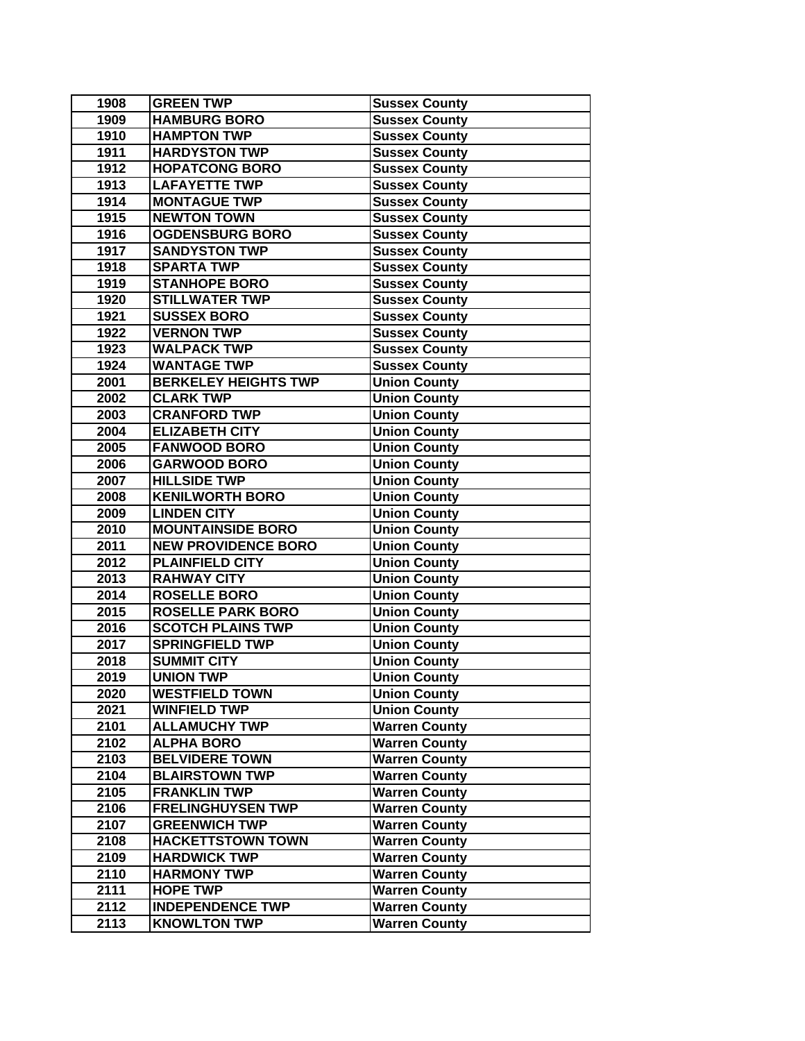| 1908 | <b>GREEN TWP</b>            | <b>Sussex County</b> |
|------|-----------------------------|----------------------|
| 1909 | <b>HAMBURG BORO</b>         | <b>Sussex County</b> |
| 1910 | <b>HAMPTON TWP</b>          | <b>Sussex County</b> |
| 1911 | <b>HARDYSTON TWP</b>        | <b>Sussex County</b> |
| 1912 | <b>HOPATCONG BORO</b>       | <b>Sussex County</b> |
| 1913 | <b>LAFAYETTE TWP</b>        | <b>Sussex County</b> |
| 1914 | <b>MONTAGUE TWP</b>         | <b>Sussex County</b> |
| 1915 | <b>NEWTON TOWN</b>          | <b>Sussex County</b> |
| 1916 | <b>OGDENSBURG BORO</b>      | <b>Sussex County</b> |
| 1917 | <b>SANDYSTON TWP</b>        | <b>Sussex County</b> |
| 1918 | <b>SPARTA TWP</b>           | <b>Sussex County</b> |
| 1919 | <b>STANHOPE BORO</b>        | <b>Sussex County</b> |
| 1920 | <b>STILLWATER TWP</b>       | <b>Sussex County</b> |
| 1921 | <b>SUSSEX BORO</b>          | <b>Sussex County</b> |
| 1922 | <b>VERNON TWP</b>           | <b>Sussex County</b> |
| 1923 | <b>WALPACK TWP</b>          | <b>Sussex County</b> |
| 1924 | <b>WANTAGE TWP</b>          | <b>Sussex County</b> |
| 2001 | <b>BERKELEY HEIGHTS TWP</b> | <b>Union County</b>  |
| 2002 | <b>CLARK TWP</b>            | <b>Union County</b>  |
| 2003 | <b>CRANFORD TWP</b>         | <b>Union County</b>  |
| 2004 | <b>ELIZABETH CITY</b>       | <b>Union County</b>  |
| 2005 | <b>FANWOOD BORO</b>         | <b>Union County</b>  |
| 2006 | <b>GARWOOD BORO</b>         | <b>Union County</b>  |
| 2007 | <b>HILLSIDE TWP</b>         | <b>Union County</b>  |
| 2008 | <b>KENILWORTH BORO</b>      | <b>Union County</b>  |
| 2009 | <b>LINDEN CITY</b>          | <b>Union County</b>  |
| 2010 | <b>MOUNTAINSIDE BORO</b>    | <b>Union County</b>  |
| 2011 | <b>NEW PROVIDENCE BORO</b>  | <b>Union County</b>  |
| 2012 | <b>PLAINFIELD CITY</b>      | <b>Union County</b>  |
| 2013 | <b>RAHWAY CITY</b>          | <b>Union County</b>  |
| 2014 | <b>ROSELLE BORO</b>         | <b>Union County</b>  |
| 2015 | <b>ROSELLE PARK BORO</b>    | <b>Union County</b>  |
| 2016 | <b>SCOTCH PLAINS TWP</b>    | <b>Union County</b>  |
| 2017 | <b>SPRINGFIELD TWP</b>      | <b>Union County</b>  |
| 2018 | <b>SUMMIT CITY</b>          | <b>Union County</b>  |
| 2019 | <b>UNION TWP</b>            | <b>Union County</b>  |
| 2020 | <b>WESTFIELD TOWN</b>       | <b>Union County</b>  |
| 2021 | <b>WINFIELD TWP</b>         | <b>Union County</b>  |
| 2101 | <b>ALLAMUCHY TWP</b>        | <b>Warren County</b> |
| 2102 | <b>ALPHA BORO</b>           | <b>Warren County</b> |
| 2103 | <b>BELVIDERE TOWN</b>       | <b>Warren County</b> |
| 2104 | <b>BLAIRSTOWN TWP</b>       | <b>Warren County</b> |
| 2105 | <b>FRANKLIN TWP</b>         | <b>Warren County</b> |
| 2106 | <b>FRELINGHUYSEN TWP</b>    | <b>Warren County</b> |
| 2107 | <b>GREENWICH TWP</b>        | <b>Warren County</b> |
| 2108 | <b>HACKETTSTOWN TOWN</b>    | <b>Warren County</b> |
| 2109 | <b>HARDWICK TWP</b>         | <b>Warren County</b> |
| 2110 | <b>HARMONY TWP</b>          | <b>Warren County</b> |
| 2111 | <b>HOPE TWP</b>             | <b>Warren County</b> |
| 2112 | <b>INDEPENDENCE TWP</b>     | <b>Warren County</b> |
| 2113 | <b>KNOWLTON TWP</b>         | <b>Warren County</b> |